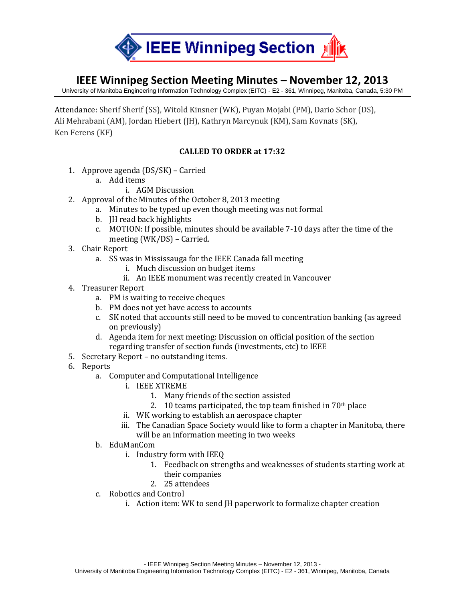

## **IEEE Winnipeg Section Meeting Minutes – November 12, 2013**

University of Manitoba Engineering Information Technology Complex (EITC) - E2 - 361, Winnipeg, Manitoba, Canada, 5:30 PM

Attendance: Sherif Sherif (SS), Witold Kinsner (WK), Puyan Mojabi (PM), Dario Schor (DS), Ali Mehrabani (AM), Jordan Hiebert (JH), Kathryn Marcynuk (KM), Sam Kovnats (SK), Ken Ferens (KF)

## **CALLED TO ORDER at 17:32**

- 1. Approve agenda (DS/SK) Carried
	- a. Add items
		- i. AGM Discussion
- 2. Approval of the Minutes of the October 8, 2013 meeting
	- a. Minutes to be typed up even though meeting was not formal
		- b. JH read back highlights
		- c. MOTION: If possible, minutes should be available 7-10 days after the time of the meeting (WK/DS) – Carried.
- 3. Chair Report
	- a. SS was in Mississauga for the IEEE Canada fall meeting
		- i. Much discussion on budget items
		- ii. An IEEE monument was recently created in Vancouver
- 4. Treasurer Report
	- a. PM is waiting to receive cheques
	- b. PM does not yet have access to accounts
	- c. SK noted that accounts still need to be moved to concentration banking (as agreed on previously)
	- d. Agenda item for next meeting: Discussion on official position of the section regarding transfer of section funds (investments, etc) to IEEE
- 5. Secretary Report no outstanding items.
- 6. Reports
	- a. Computer and Computational Intelligence
		- i. IEEE XTREME
			- 1. Many friends of the section assisted
			- 2. 10 teams participated, the top team finished in  $70<sup>th</sup>$  place
		- ii. WK working to establish an aerospace chapter
		- iii. The Canadian Space Society would like to form a chapter in Manitoba, there will be an information meeting in two weeks
	- b. EduManCom
		- i. Industry form with IEEQ
			- 1. Feedback on strengths and weaknesses of students starting work at their companies
			- 2. 25 attendees
	- c. Robotics and Control
		- i. Action item: WK to send JH paperwork to formalize chapter creation